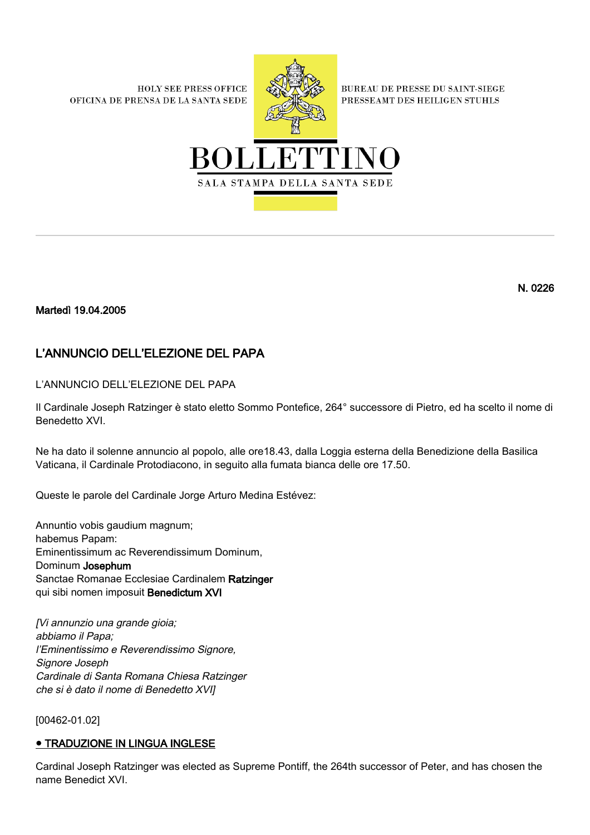**HOLY SEE PRESS OFFICE** OFICINA DE PRENSA DE LA SANTA SEDE



**BUREAU DE PRESSE DU SAINT-SIEGE** PRESSEAMT DES HEILIGEN STUHLS



Martedì 19.04.2005

## L'ANNUNCIO DELL'ELEZIONE DEL PAPA

L'ANNUNCIO DELL'ELEZIONE DEL PAPA

Il Cardinale Joseph Ratzinger è stato eletto Sommo Pontefice, 264° successore di Pietro, ed ha scelto il nome di Benedetto XVI.

Ne ha dato il solenne annuncio al popolo, alle ore18.43, dalla Loggia esterna della Benedizione della Basilica Vaticana, il Cardinale Protodiacono, in seguito alla fumata bianca delle ore 17.50.

Queste le parole del Cardinale Jorge Arturo Medina Estévez:

Annuntio vobis gaudium magnum; habemus Papam: Eminentissimum ac Reverendissimum Dominum, Dominum Josephum Sanctae Romanae Ecclesiae Cardinalem Ratzinger qui sibi nomen imposuit Benedictum XVI

[Vi annunzio una grande gioia; abbiamo il Papa; l'Eminentissimo e Reverendissimo Signore, Signore Joseph Cardinale di Santa Romana Chiesa Ratzinger che si è dato il nome di Benedetto XVI]

[00462-01.02]

## ● TRADUZIONE IN LINGUA INGLESE

Cardinal Joseph Ratzinger was elected as Supreme Pontiff, the 264th successor of Peter, and has chosen the name Benedict XVI.

N. 0226